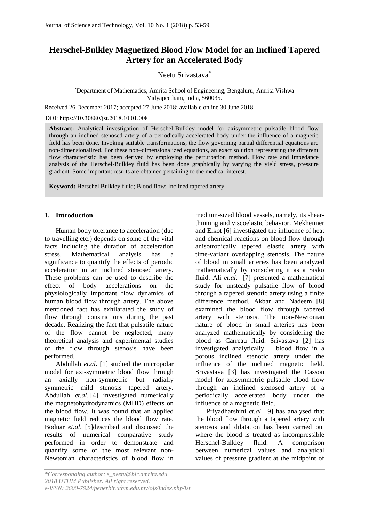# **Herschel-Bulkley Magnetized Blood Flow Model for an Inclined Tapered Artery for an Accelerated Body**

Neetu Srivastava\*

## \*Department of Mathematics, Amrita School of Engineering, Bengaluru, Amrita Vishwa Vidyapeetham, India, 560035. .

Received 26 December 2017; accepted 27 June 2018; available online 30 June 2018

DOI: https://10.30880/jst.2018.10.01.008

**Abstract:** Analytical investigation of Herschel-Bulkley model for axisymmetric pulsatile blood flow through an inclined stenosed artery of a periodically accelerated body under the influence of a magnetic field has been done. Invoking suitable transformations, the flow governing partial differential equations are non-dimensionalized. For these non–dimensionalized equations, an exact solution representing the different flow characteristic has been derived by employing the perturbation method. Flow rate and impedance analysis of the Herschel-Bulkley fluid has been done graphically by varying the yield stress, pressure gradient. Some important results are obtained pertaining to the medical interest.

**Keyword:** Herschel Bulkley fluid; Blood flow; Inclined tapered artery.

## **1. Introduction**

Human body tolerance to acceleration (due to travelling etc.) depends on some of the vital facts including the duration of acceleration stress. Mathematical analysis has a significance to quantify the effects of periodic acceleration in an inclined stenosed artery. These problems can be used to describe the effect of body accelerations on the physiologically important flow dynamics of human blood flow through artery. The above mentioned fact has exhilarated the study of flow through constrictions during the past decade. Realizing the fact that pulsatile nature of the flow cannot be neglected, many theoretical analysis and experimental studies of the flow through stenosis have been performed.

Abdullah *et.al*. [1] studied the micropolar model for axi-symmetric blood flow through an axially non-symmetric but radially symmetric mild stenosis tapered artery. Abdullah *et.al*. [4] investigated numerically the magnetohydrodynamics (MHD) effects on the blood flow. It was found that an applied magnetic field reduces the blood flow rate. Bodnar *et.al*. [5]described and discussed the results of numerical comparative study performed in order to demonstrate and quantify some of the most relevant non-Newtonian characteristics of blood flow in

medium-sized blood vessels, namely, its shearthinning and viscoelastic behavior. Mekheimer and Elkot [6] investigated the influence of heat and chemical reactions on blood flow through anisotropically tapered elastic artery with time-variant overlapping stenosis. The nature of blood in small arteries has been analyzed mathematically by considering it as a Sisko fluid. Ali *et.al*. [7] presented a mathematical study for unsteady pulsatile flow of blood through a tapered stenotic artery using a finite difference method. Akbar and Nadeem [8] examined the blood flow through tapered artery with stenosis. The non-Newtonian nature of blood in small arteries has been analyzed mathematically by considering the blood as Carreau fluid. Srivastava [2] has investigated analytically blood flow in a porous inclined stenotic artery under the influence of the inclined magnetic field. Srivastava [3] has investigated the Casson model for axisymmetric pulsatile blood flow through an inclined stenosed artery of a periodically accelerated body under the influence of a magnetic field.

[Priyadharshini](https://www.hindawi.com/49864763/) *et.al*. [9] has analysed that the blood flow through a tapered artery with stenosis and dilatation has been carried out where the blood is treated as incompressible Herschel-Bulkley fluid. A comparison between numerical values and analytical values of pressure gradient at the midpoint of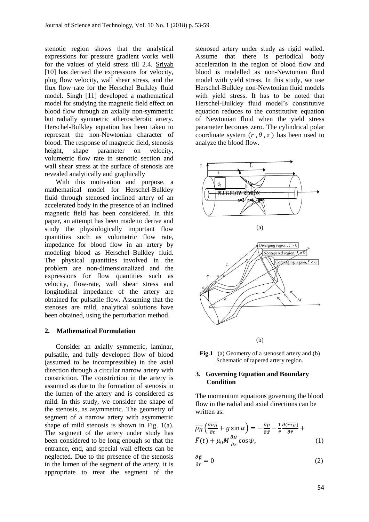stenotic region shows that the analytical expressions for pressure gradient works well for the values of yield stress till 2.4. [Sriyab](https://www.ncbi.nlm.nih.gov/pubmed/?term=Sriyab%20S%5BAuthor%5D&cauthor=true&cauthor_uid=25587350) [10] has derived the expressions for velocity, plug flow velocity, wall shear stress, and the flux flow rate for the Herschel Bulkley fluid model. Singh [11] developed a mathematical model for studying the magnetic field effect on blood flow through an axially non-symmetric but radially symmetric atherosclerotic artery. Herschel-Bulkley equation has been taken to represent the non-Newtonian character of blood. The response of magnetic field, stenosis height, shape parameter on velocity, volumetric flow rate in stenotic section and wall shear stress at the surface of stenosis are revealed analytically and graphically

With this motivation and purpose, a mathematical model for Herschel-Bulkley fluid through stenosed inclined artery of an accelerated body in the presence of an inclined magnetic field has been considered. In this paper, an attempt has been made to derive and study the physiologically important flow quantities such as volumetric flow rate, impedance for blood flow in an artery by modeling blood as Herschel–Bulkley fluid. The physical quantities involved in the problem are non-dimensionalized and the expressions for flow quantities such as velocity, flow-rate, wall shear stress and longitudinal impedance of the artery are obtained for pulsatile flow. Assuming that the stenoses are mild, analytical solutions have been obtained, using the perturbation method.

### **2. Mathematical Formulation**

Consider an axially symmetric, laminar, pulsatile, and fully developed flow of blood (assumed to be incompressible) in the axial direction through a circular narrow artery with constriction. The constriction in the artery is assumed as due to the formation of stenosis in the lumen of the artery and is considered as mild. In this study, we consider the shape of the stenosis, as asymmetric. The geometry of segment of a narrow artery with asymmetric shape of mild stenosis is shown in Fig. 1(a). The segment of the artery under study has been considered to be long enough so that the entrance, end, and special wall effects can be neglected. Due to the presence of the stenosis in the lumen of the segment of the artery, it is appropriate to treat the segment of the

stenosed artery under study as rigid walled. Assume that there is periodical body acceleration in the region of blood flow and blood is modelled as non-Newtonian fluid model with yield stress. In this study, we use Herschel-Bulkley non-Newtonian fluid models with yield stress. It has to be noted that Herschel-Bulkley fluid model's constitutive equation reduces to the constitutive equation of Newtonian fluid when the yield stress parameter becomes zero. The cylindrical polar coordinate system  $(r, \theta, z)$  has been used to analyze the blood flow.



(b)

Fig.1 (a) Geometry of a stenosed artery and (b) Schematic of tapered artery region.

### **3. Governing Equation and Boundary Condition**

The momentum equations governing the blood flow in the radial and axial directions can be written as:

$$
\overline{\rho_H} \left( \frac{\partial \overline{u_H}}{\partial t} + g \sin \alpha \right) = -\frac{\partial \overline{p}}{\partial z} - \frac{1}{r} \frac{\partial (\overline{r} \overline{u_H})}{\partial \overline{r}} + \n\overline{F}(t) + \mu_0 M \frac{\partial \overline{H}}{\partial \overline{z}} \cos \psi,
$$
\n(1)

$$
\frac{\partial \bar{p}}{\partial \bar{r}} = 0 \tag{2}
$$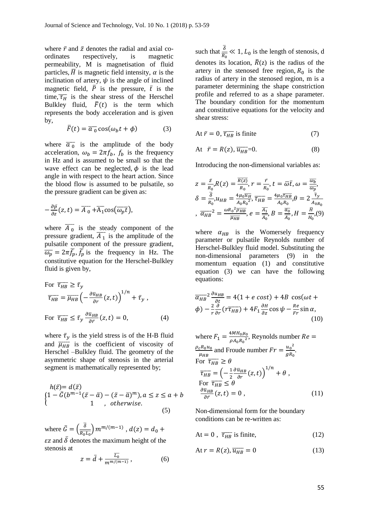where  $\bar{r}$  and  $\bar{z}$  denotes the radial and axial coordinates respectively, is magnetic permeability, M is magnetisation of fluid particles,  $\overline{H}$  is magnetic field intensity,  $\alpha$  is the inclination of artery,  $\psi$  is the angle of inclined magnetic field,  $\overline{P}$  is the pressure,  $\overline{t}$  is the time,  $\overline{\tau_H}$  is the shear stress of the Herschel Bulkley fluid,  $\bar{F}(t)$  is the term which represents the body acceleration and is given by,

$$
\bar{F}(t) = \overline{a_0} \cos(\omega_b t + \phi) \tag{3}
$$

where  $\overline{a_0}$  is the amplitude of the body acceleration,  $\omega_b = 2\pi f_b$ ,  $f_b$  is the frequency in Hz and is assumed to be small so that the wave effect can be neglected,  $\phi$  is the lead angle in with respect to the heart action. Since the blood flow is assumed to be pulsatile, so the pressure gradient can be given as:

$$
-\frac{\partial \bar{p}}{\partial z}(z,t)=\overline{A_0}+\overline{A_1}\cos(\overline{\omega_p t}),
$$

where  $\overline{A_0}$  is the steady component of the pressure gradient,  $\overline{A_1}$  is the amplitude of the pulsatile component of the pressure gradient,  $\overline{\omega_p} = 2\pi \overline{f_p}, \overline{f_p}$  is the frequency in Hz. The constitutive equation for the Herschel-Bulkley fluid is given by,

For 
$$
\overline{\tau_{HB}} \ge \overline{\tau}_y
$$
  
\n
$$
\overline{\tau_{HB}} = \overline{\mu_{HB}} \left( -\frac{\partial \overline{u}_{HB}}{\partial r} (z, t) \right)^{1/n} + \overline{\tau}_y,
$$
\nFor  $\overline{\tau_{HB}} \le \overline{\tau}_y \frac{\partial \overline{u}_{HB}}{\partial \overline{r}} (z, t) = 0,$  (4)

where  $\bar{\tau}_y$  is the yield stress is of the H-B fluid and  $\overline{\mu_{HB}}$  is the coefficient of viscosity of Herschel –Bulkley fluid. The geometry of the asymmetric shape of stenosis in the arterial segment is mathematically represented by;

$$
h(\bar{z}) = d(\bar{z})
$$
  
\n
$$
\begin{cases}\n1 - \bar{G}(b^{m-1}(\bar{z} - \bar{a}) - (\bar{z} - \bar{a})^m), a \le z \le a + b \\
1, \quad \text{otherwise.} \n\end{cases}
$$
\n(5)

where  $\bar{G} = \left(\frac{\bar{\delta}}{\bar{\delta}}\right)$  $\frac{\delta}{R_0 L_0}$ )  $m^{m/(m-1)}$  ,  $d(z) = d_0 +$  $\epsilon$ z and  $\bar{\delta}$  denotes the maximum height of the stenosis at

$$
z = \bar{d} + \frac{\overline{L_0}}{m^{m/(m-1)}},\tag{6}
$$

such that  $\frac{\overline{\delta}}{\overline{R_0}} \ll 1$ ,  $L_0$  is the length of stenosis, d denotes its location,  $\overline{R}(z)$  is the radius of the artery in the stenosed free region,  $R_0$  is the radius of artery in the stenosed region, m is a parameter determining the shape constriction profile and referred to as a shape parameter. The boundary condition for the momentum and constitutive equations for the velocity and shear stress:

At 
$$
\bar{r} = 0
$$
,  $\overline{\tau_{HB}}$  is finite (7)

$$
At \quad \bar{r} = R(z), \, \overline{u_{HB}} = 0. \tag{8}
$$

Introducing the non-dimensional variables as:

$$
z = \frac{\bar{z}}{R_0}, R(z) = \frac{\overline{R(z)}}{R_0}, r = \frac{\bar{r}}{R_0}, t = \overline{\omega}\bar{t}, \omega = \frac{\overline{\omega}\bar{b}}{\overline{\omega}\bar{p}},
$$
  

$$
\delta = \frac{\overline{\delta}}{R_0}, u_{HB} = \frac{4\mu_0 \overline{u_H}}{A_0 R_0^2}, \overline{\tau}_{HB} = \frac{4\mu_0 \overline{\tau}_{HB}}{A_0 R_0}, \theta = 2\frac{\overline{\tau}_y}{A_0 R_0},
$$
  

$$
\overline{\alpha_{HB}}^2 = \frac{\omega R_0^2 \overline{\rho}_{HB}}{\overline{\mu}_{HB}}, e = \frac{\overline{A_1}}{\overline{A_0}}, B = \frac{\overline{a_0}}{\overline{A_0}}, H = \frac{\overline{H}}{H_0}, (9)
$$

where  $\alpha_{HB}$  is the Womersely frequency parameter or pulsatile Reynolds number of Herschel-Bulkley fluid model. Substituting the non-dimensional parameters (9) in the momentum equation (1) and constitutive equation (3) we can have the following equations:

$$
\overline{\alpha_{HB}}^2 \frac{\partial u_{HB}}{\partial t} = 4(1 + e \cos t) + 4B \cos(\omega t + \phi) - \frac{2}{r} \frac{\partial}{\partial r} (r \overline{\tau_{HB}}) + 4F_1 \frac{\partial H}{\partial z} \cos \psi - \frac{Re}{Fr} \sin \alpha,
$$
\n(10)

where 
$$
F_1 = \frac{4MH_0\mu_0}{\rho A_0R_0^2}
$$
, Reynolds number  $Re = \frac{\rho_c R_0 u_0}{\mu_{HB}}$  and Froude number  $Fr = \frac{u_0^2}{gR_0}$ .  
\nFor  $\overline{\tau}_{HB} \ge \theta$   
\n
$$
\overline{\tau}_{HB} = \left(-\frac{1}{2}\frac{\partial \overline{u}_{HB}}{\partial r}(z, t)\right)^{1/n} + \theta,
$$
\nFor  $\overline{\tau}_{HB} \le \theta$   
\n
$$
\frac{\partial \overline{u}_{HB}}{\partial \overline{r}}(z, t) = 0,
$$
\n(11)

Non-dimensional form for the boundary conditions can be re-written as:

$$
At = 0, \overline{\tau_{HB}} \text{ is finite}, \tag{12}
$$

$$
At r = R(z), \overline{u_{HB}} = 0 \tag{13}
$$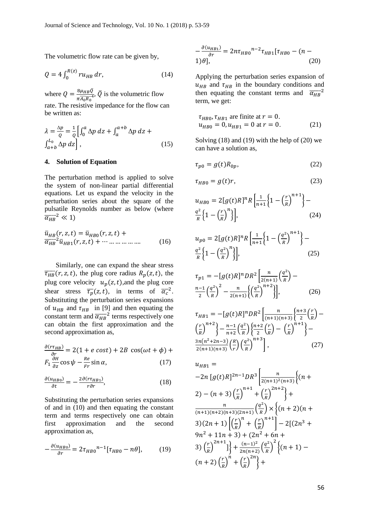The volumetric flow rate can be given by,

$$
Q = 4 \int_0^{R(z)} r u_{HB} \, dr,\tag{14}
$$

where  $Q = \frac{8\mu_{HB}\bar{Q}}{1.5}$  $\frac{8\mu_{HB}Q}{\pi A_0 R_0^4}$ ,  $\overline{Q}$  is the volumetric flow rate. The resistive impedance for the flow can

be written as:

$$
\lambda = \frac{\Delta p}{Q} = \frac{1}{Q} \left[ \int_0^a \Delta p \, dz + \int_a^{a+b} \Delta p \, dz + \int_{a+b}^{L_0} \Delta p \, dz \right],\tag{15}
$$

#### **4. Solution of Equation**

The perturbation method is applied to solve the system of non-linear partial differential equations. Let us expand the velocity in the perturbation series about the square of the pulsatile Reynolds number as below (where  $\overline{\alpha_{HB}}^2 \ll 1$ 

$$
\bar{u}_{HB}(r, z, t) = \bar{u}_{HB0}(r, z, t) + \n\overline{\alpha}_{HB}^2 \bar{u}_{HB1}(r, z, t) + \cdots \dots \dots \dots \dots \dots \tag{16}
$$

Similarly, one can expand the shear stress  $\overline{\tau_{HB}}(r, z, t)$ , the plug core radius  $R_p(z, t)$ , the plug core velocity  $u_p(z,t)$ , and the plug core shear stress  $\overline{\tau_p}(z,t)$ , in terms of  $\overline{\alpha_c}^2$ . Substituting the perturbation series expansions of  $u_{HB}$  and  $\tau_{HB}$  in [9] and then equating the constant term and  $\overline{\alpha_{HB}}^2$  terms respectively one can obtain the first approximation and the second approximation as,

$$
\frac{\partial (r\tau_{HB})}{\partial r} = 2(1 + e \cos t) + 2B \cos(\omega t + \phi) + F_1 \frac{\partial H}{\partial z} \cos \psi - \frac{Re}{Fr} \sin \alpha, \qquad (17)
$$

$$
\frac{\partial (u_{HBO})}{\partial t} = -\frac{2\partial (r\tau_{HBO})}{r\partial r},\tag{18}
$$

Substituting the perturbation series expansions of and in (10) and then equating the constant term and terms respectively one can obtain first approximation and the second approximation as,

$$
-\frac{\partial(u_{HBO})}{\partial r} = 2\tau_{HBO}^{n-1}[\tau_{HBO} - n\theta],\qquad(19)
$$

$$
-\frac{\partial (u_{HB1})}{\partial r} = 2n\tau_{HB0}^{n-2} \tau_{HB1} [\tau_{HB0} - (n-1)\theta], \tag{20}
$$

Applying the perturbation series expansion of  $u_{HR}$  and  $\tau_{HR}$  in the boundary conditions and then equating the constant terms and  $\overline{\alpha_{HB}}^2$ term, we get:

$$
\tau_{HB0}, \tau_{HB1}
$$
 are finite at  $r = 0$ .  
\n $u_{HB0} = 0, u_{HB1} = 0$  at  $r = 0$ . (21)

Solving (18) and (19) with the help of (20) we can have a solution as,

$$
\tau_{p0} = g(t)R_{0p},\tag{22}
$$

$$
\tau_{HB0} = g(t)r,\tag{23}
$$

$$
u_{HBO} = 2[g(t)R]^n R \left[ \frac{1}{n+1} \left\{ 1 - \left(\frac{r}{R}\right)^{n+1} \right\} - \frac{q^2}{R} \left\{ 1 - \left(\frac{r}{R}\right)^n \right\} \right],
$$
\n(24)

$$
u_{p0} = 2[g(t)R]^n R \left[ \frac{1}{n+1} \left\{ 1 - \left( \frac{q^2}{R} \right)^{n+1} \right\} - \frac{q^2}{R} \left\{ 1 - \left( \frac{q^2}{R} \right)^n \right\} \right],
$$
\n(25)

$$
\tau_{p1} = -[g(t)R]^n DR^2 \left[ \frac{n}{2(n+1)} \left( \frac{q^2}{R} \right) - \frac{n-1}{2} \left( \frac{q^2}{R} \right)^2 - \frac{n}{2(n+1)} \left( \left( \frac{q^2}{R} \right)^{n+2} \right) \right],\tag{26}
$$

$$
\tau_{HB1} = -[g(t)R]^n DR^2 \left[ \frac{n}{(n+1)(n+3)} \left\{ \frac{n+3}{2} \left( \frac{r}{R} \right) - \left( \frac{r}{R} \right)^{n+2} \right\} - \frac{n-1}{n+2} \left( \frac{q^2}{R} \right) \left\{ \frac{n+2}{2} \left( \frac{r}{R} \right) - \left( \frac{r}{R} \right)^{n+1} \right\} - \frac{3n(n^2+2n-3)}{2(n+1)(n+3)} \left( \frac{R}{r} \right) \left( \frac{q^2}{R} \right)^{n+3} \right],
$$
 (27)

$$
u_{HB1} =
$$
  
\n
$$
-2n [g(t)R]^{2n-1}DR^3 \left\{ \frac{n}{2(n+1)^2(n+3)} \left\{ (n+1) \frac{n}{2(n+1)(n+2)} \left\{ n+1 \right\} \frac{n}{R} \right\} + \frac{n}{(n+1)(n+2)(n+3)(2n+1)} \left\{ \frac{q^2}{R} \right\} \times \left\{ (n+2)(n+1) \left[ \left(\frac{r}{R}\right)^n + \left(\frac{r}{R}\right)^{n+1} \right] - 2[(2n^3+1) \frac{n^2}{R} + 11n + 3) + (2n^2 + 6n + 3) \left(\frac{r}{R}\right)^{2n+1} \right\} + \frac{(n-1)^2}{2n(n+2)} \left\{ \frac{q^2}{R} \right\}^2 \left\{ (n+1) - (n+2) \left(\frac{r}{R}\right)^n + \left(\frac{r}{R}\right)^{2n} \right\} +
$$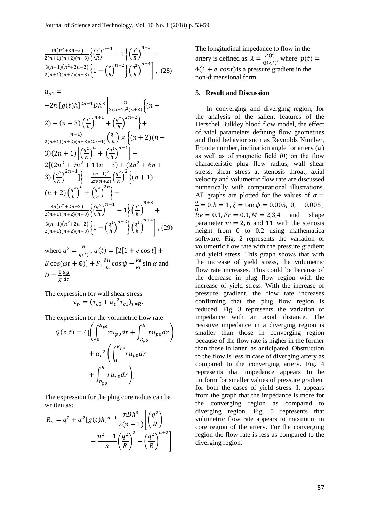$$
\frac{\frac{3n(n^2+2n-2)}{2(n+1)(n+2)(n+3)}\left\{\left(\frac{r}{R}\right)^{n-1}-1\right\}\left(\frac{q^2}{R}\right)^{n+3}}{\frac{3(n-1)(n^2+2n-2)}{2(n+1)(n+2)(n+3)}\left\{1-\left(\frac{r}{R}\right)^{n-2}\right\}\left(\frac{q^2}{R}\right)^{n+4}},\tag{28}
$$

$$
u_{p1} = -2n [g(t)h]^{2n-1} Dh^3 \left[ \frac{n}{2(n+1)^2(n+3)} \left\{ (n+1)^2 (n+3) \left(\frac{q^2}{h}\right)^{n+1} + \left(\frac{q^2}{h}\right)^{2n+2} \right\} + \frac{(n-1)^2}{2(n+1)(n+2)(n+3)(2n+1)} \left(\frac{q^2}{h}\right) \times \left\{ (n+2)(n+3)(2n+1) \left[\left(\frac{q^2}{h}\right)^n + \left(\frac{q^2}{h}\right)^{n+1}\right] - 2[(2n^3 + 9n^2 + 11n + 3) + (2n^2 + 6n + 3) \left(\frac{q^2}{h}\right)^{2n+1}] \right\} + \frac{(n-1)^2}{2n(n+2)} \left(\frac{q^2}{h}\right)^2 \left\{ (n+1) - (n+2) \left(\frac{q^2}{h}\right)^n + \left(\frac{q^2}{h}\right)^{2n+1} \right\} + \frac{3n(n^2+2n-2)}{2(n+1)(n+2)(n+3)} \left\{ \left(\frac{q^2}{h}\right)^{n-1} - 1 \right\} \left(\frac{q^2}{h}\right)^{n+3} + \frac{3(n-1)(n^2+2n-2)}{2(n+1)(n+2)(n+3)} \left\{ 1 - \left(\frac{q^2}{h}\right)^{n-2} \right\} \left(\frac{q^2}{h}\right)^{n+4} \right\}, (29)
$$

where  $q^2 = \frac{\theta}{q}$  $\frac{\partial}{g(t)}$ ,  $g(t) = [2[1 + e \cos t] +$  $B\cos(\omega t + \emptyset) + F_1 \frac{\partial H}{\partial z} \cos \psi - \frac{Re}{Fr}$  $\frac{r_{\text{c}}}{Fr}$ sin  $\alpha$  and  $D = \frac{1}{2}$  $\overline{g}$  $dg$  $\frac{dy}{dt}$ .

The expression for wall shear stress  $\tau_w = (\tau_{c0} + \alpha_c^2 \tau_{c1})_{r=R}.$ 

The expression for the volumetric flow rate

$$
Q(z,t) = 4\left[\left(\int_0^{R_{p0}} ru_{p0} dr + \int_{R_{p0}}^R ru_{p0} dr\right) + \alpha_c^2 \left(\int_0^{R_{p0}} ru_{p0} dr + \int_{R_{p0}}^R ru_{p0} dr\right)\right]
$$

The expression for the plug core radius can be written as:

$$
R_p = q^2 + \alpha^2 [g(t)h]^{n-1} \frac{nDh^3}{2(n+1)} \left[ \left( \frac{q^2}{R} \right) - \frac{n^2 - 1}{n} \left( \frac{q^2}{R} \right)^2 - \left( \frac{q^2}{R} \right)^{n+2} \right]
$$

The longitudinal impedance to flow in the artery is defined as:  $\lambda = \frac{P(t)}{Q(t)}$  $\frac{F(t)}{Q(z,t)}$ , where  $p(t) =$  $4(1 + e \cos t)$  is a pressure gradient in the non-dimensional form.

#### **5. Result and Discussion**

In converging and diverging region, for the analysis of the salient features of the Herschel Bulkley blood flow model, the effect of vital parameters defining flow geometries and fluid behavior such as Reynolds Number, Froude number, inclination angle for artery  $(\alpha)$ as well as of magnetic field  $(θ)$  on the flow characteristic plug flow radius, wall shear stress, shear stress at stenosis throat, axial velocity and volumetric flow rate are discussed numerically with computational illustrations. All graphs are plotted for the values of  $\sigma =$  $\boldsymbol{b}$  $\frac{\mu}{a} = 0, b = 1, \xi = \tan \phi = 0.005, 0, -0.005$  $Re = 0.1, Fr = 0.1, M = 2,3,4$  and shape parameter  $m = 2.6$  and 11 with the stenosis height from 0 to 0.2 using mathematica software. Fig. 2 represents the variation of volumetric flow rate with the pressure gradient and yield stress. This graph shows that with the increase of yield stress, the volumetric flow rate increases. This could be because of the decrease in plug flow region with the increase of yield stress. With the increase of pressure gradient, the flow rate increases confirming that the plug flow region is reduced. Fig. 3 represents the variation of impedance with an axial distance. The resistive impedance in a diverging region is smaller than those in converging region because of the flow rate is higher in the former than those in latter, as anticipated. Obstruction to the flow is less in case of diverging artery as compared to the converging artery. Fig. 4 represents that impedance appears to be uniform for smaller values of pressure gradient for both the cases of yield stress. It appears from the graph that the impedance is more for the converging region as compared to diverging region. Fig. 5 represents that volumetric flow rate appears to maximum in core region of the artery. For the converging region the flow rate is less as compared to the diverging region.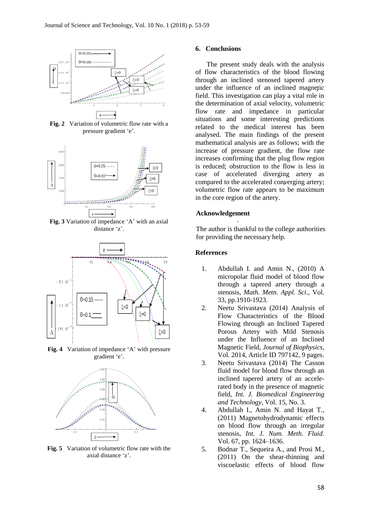

**Fig. 2** Variation of volumetric flow rate with a pressure gradient 'e'.



**Fig. 3** Variation of impedance 'A' with an axial distance 'z'.



Fig. 4 Variation of impedance 'A' with pressure gradient 'e'.



**Fig. 5** Variation of volumetric flow rate with the axial distance 'z'.

#### **6. Conclusions**

, under the influence of an inclined magnetic flow rate and impedance in particular<br>situations and some interesting predictions situations and some interesting predictions<br>related to the medical interest has been  $\begin{array}{c|c}\n\hline\n\text{case} & \text{case} \\
\hline\n\text{compared to the accelerated converging artery;}\n\end{array}$ The present study deals with the analysis of flow characteristics of the blood flowing through an inclined stenosed tapered artery field. This investigation can play a vital role in the determination of axial velocity, volumetric related to the medical interest has been analysed. The main findings of the present mathematical analysis are as follows; with the increase of pressure gradient, the flow rate increases confirming that the plug flow region is reduced; obstruction to the flow is less in case of accelerated diverging artery as volumetric flow rate appears to be maximum in the core region of the artery.

#### . **Acknowledgement**

The author is thankful to the college authorities for providing the necessary help.

#### **References**

- 1. Abdullah I. and Amin N., (2010) A micropolar fluid model of blood flow through a tapered artery through a stenosis, *Math. Metn. Appl. Sci*., Vol. 33, pp.1910-1923.
- 2. Neetu Srivastava (2014) Analysis of Flow Characteristics of the Blood Flowing through an Inclined Tapered Porous Artery with Mild Stenosis under the Influence of an Inclined Magnetic Field, *Journal of Biophysics*, Vol. 2014, Article ID 797142, 9 pages.
- 3. Neetu Srivastava (2014) The Casson fluid model for blood flow through an inclined tapered artery of an accelerated body in the presence of magnetic field, *Int. J. Biomedical Engineering and Technology*, Vol. 15, No. 3.
- 4. Abdullah I., Amin N. and Hayat T., (2011) Magnetohydrodynamic effects on blood flow through an irregular stenosis, *Int. J. Num. Meth. Fluid*. Vol. 67, pp. 1624–1636.
- 5. Bodnar T., Sequeira A., and Prosi M., (2011) On the shear-thinning and viscoelastic effects of blood flow